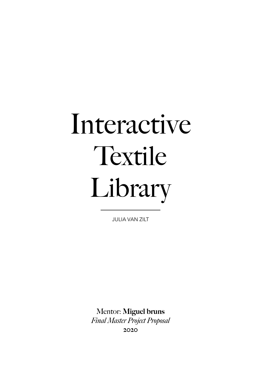# Interactive Textile Library

JULIA VAN ZILT

Mentor: Miguel bruns *Final Master Project Proposal*  2020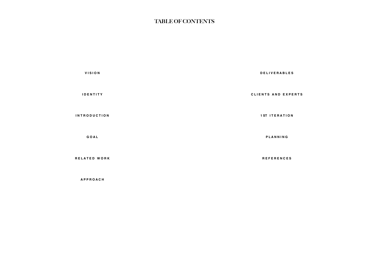| <b>DELIVERAB</b>     | <b>VISION</b>       |
|----------------------|---------------------|
| <b>CLIENTS AND E</b> | <b>IDENTITY</b>     |
| <b>1ST ITERAT</b>    | <b>INTRODUCTION</b> |
| PLANNIN              | GOAL                |
| <b>REFERENC</b>      | RELATED WORK        |

**[A P P R O A C H](#page-5-0)** 

**B** L E S

E X P E R T S

**10 N** 

**P**  $\bf G$ 

**[R E F E R E N C E S](#page-8-0)**

## TABLE OF CONTENTS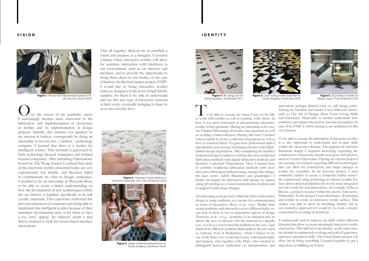#### <span id="page-2-0"></span>**V I S I O N**

ver the course of my academic career I increasingly became more interested in the fabrication and implementation of electronics in textiles and its implementation in design projects. Initially, this domain was sparked by my interest in fashion, consequently by doing an internship at by-wire.net, a fashion / technology company, I learned that there is a market for intelligent textiles. This demand is generated by both technology focused companies and fashion focused companies. After attending Fabricademy hosted by The Waag Society I realised that most of the electronic textiles presented today are very experimental, low fidelity, and therefore failed to communicate its value to design companies. I decided to do an internship at Mercedes-Benz to be able to create a better understanding on how the development of new technologies within the car interior is handled, specifically in its soft (textile) materials. This experience reinforced the previous statement of companies not being able to implement the intelligent textiles because of their immature development state or for them to have a too "artsy" appeal. An (indirect) result is that they're inclined to look for screen based interface innovations.

This all together allowed me to establish a vision and purpose as a designer. I envision a future where interactive textiles will allow for seamless interaction with interfaces in our environment, such as car interiors and furniture, and to provide the opportunity to bring them closer to our bodies, in the case of fashion. In this final master project (FMP) I would like to bring interactive textiles closer to designers in the form of high fidelity samples, for them to be able to understand and use this new type of interactive material in their work, eventually bringing it closer to us in our everyday lives.

### **I D E N T I T Y**



To be able to execute my vision I have to be able to work with textiles as well as creating (with) them. At first, I was most interested in incorporating interactive textiles within garments. During my internship at by-wire. net I helped fabricating electronics into garments as well as creating a mini-collection. During this time I learned what it entails to create a collection of garments as well as how to construct them. To gain more professional skills I attended the class Sewing Techniques elective at the HKU fashion design department. After completing my bachelor Industrial design I wanted to combine the more traditional fabrication methods with digital fabrication methods and therefore I attended Fabricademy. Here I learned how to combine traditional fabrication methods with more innovative fabrication methods using, among other things, the laser cutter, Adobe Illustrator and grasshopper. I further developed my fabrication skill during my master using 3D printing as a visual communication medium and to support textile shape changes. An interesting concept used within the field of interaction design is using aesthetics as a means for communication in terms of interaction (Ross, et al., 2010). Rather than seeing aesthetics and interaction as two different fields, we can look at them as two co-dependent aspects of design innovation, perhaps defined what we call design today. During my bachelor and master I have followed elective such as The Art of Design, Basic Form Giving Skills and Interactive Materiality to further understand how aesthetics can impact interactivity and ones perception. In case of my FMP, I will be aiming to use aesthetics for this very purpose. To be able to execute the fabrication of interactive textiles it is also important to understand and to gain skills within the electronics domain. Throughout my bachelor Industrial design I acquired knowledge regarding the construction of electronic circuits in projects and electives such as Creative Electronics. During my current project I am carrying out research regarding different technologies that can allow for conductivity and shape changes in textiles for wearables. In my previous project, I used conductive fabrics to create a composite leather sensor. By continuously using technology to enhance textiles I've been able to detect possibilities for it to be more integrated into the textile for rich interactions. An example of this is Breeze, a project executed within the elective Interactive Materiality. In this project I used electronics, 3D printing and textiles to create an interactive textile surface. This surface was able to show its breathing rhythm, but as you started to approach it it would try to create a deeper connection by revealing its heartbeat.

(Petersen, et al., 2004). Aesthetics is an initiation tool, to attract the user to interact with the material in a specific way, as well as a way to provide feedback to the user. I get inspired by different aesthetic philosophical theories such as Anthony, Earl of Shaftesbury, which I believe to be one of the firsts who would link beauty with functionality and purpose, who together with, Plato, who vouched to distinguish between replication (or interpretation) and I continuously seek to improve my skills within different domains that allow to create meaningful interactive textile experiences. This skill set is my identity, at the same time, my identity is continuously evolving and with it I gain more and more specialized skills. This Final Master project will allow me to bring everything I learned together to get a step closer to fulfilling my Vision.



**Figure 1.** *Pieces from Elephantasia collection for By-wire.net, Utrecht 2016*



**Figure 4***. Bio-dying yarn for Textile Academy, Amsterdam 2017*

*Textile Academy Amsterdam 2018*



**Figure 6.** *3D printing on textile for design project TU/e Eindhoven 2018*



**Figure 2.** *Interactive Textile Breeze for Interactive materiality from TU/e, Eindhoven 2019*



**Figure 3.** *Digital Craftsmanshipcollection for Textile Academy, Eindhoven 2018.*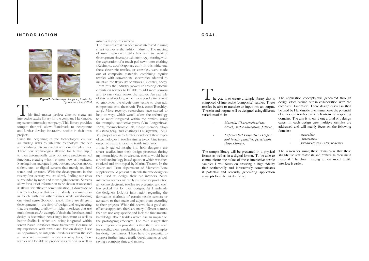#### <span id="page-3-0"></span>**I N T R O D U C T I O N**







his final master project aims to create an interactive textile library for the company Handmade, my current internship company. This library provides samples that will allow Handmade to incorporate and further develop interactive textiles in their own projects.

Since the beginning of the technological era we are finding ways to integrate technology into our surroundings, interweaving it with our everyday lives. These new technologies allowed for human input to then automatically carry out some predetermined functions, creating what we know now as interfaces. Starting from analogue input, buttons, rotation knobs, sliders, etc., to digital screens that merely required touch and gestures. With the developments in the twenty-first century we are slowly finding ourselves surrounded by more and more digital screens. Screens allow for a lot of information to be shown at once and it allows for efficient communication, a downside of this technology is that we are slowly becoming less in touch with our other senses while overloading our visual sense (Rideout, 2010). There are different developments in the field of design and engineering that are starting to allow for richer interfaces that use multiple senses. An example of this is the fact that sound design is becoming increasingly important as well as haptic feedback, which are being integrated within screen based interfaces more frequently. Because of my experience with textile and fashion design I see an opportunity to integrate interfaces within the soft surfaces we encounter in our everyday lives, these textiles will be able to provide information as well as

intuitive haptic experiences.

 $\blacksquare$  he goal is to create a sample library that is composed of interactive (composite) textiles. These textiles be able to translate an input into an output. These in and outputs will be designed using different variations of their:

The main area that has been most interested in using smart textiles is the fashion industry. The making of smart wearable textiles has been in constant development since approximately 1997, starting with the exploration of a touch pad sewn onto clothing (Rekimoto, 2001)(Saponas, 2011). In this initial era, these electronic textiles, or e-textiles, were made out of composite materials, combining regular textiles with conventional electronics adapted to maintain the flexibility of fabrics (Buechley, 2007). From this the industry looked at creating electric circuits on textiles to be able to add more sensors and to carry data across the textiles. An example of this is e-broidery, which uses conductive threat to embroider the circuit onto textile to then add components onto the circuit (Post, 2000)(Buechley, 2013). More recently, researchers have started to look at ways which would allow the technology to be more integrated within the textiles, using for example; conductive yarns (Van Langenhove, 2007), thermochromic ink, Shape memory alloys (Castano,2014) and coatings (Thilagavathi, 2014). My project seeks to further developed these types of technologies in textiles aiming to combine in- and output to create interactive textile interfaces.

I mainly gained insight into how designers use smart textiles into their design processes during my internships. At by-wire.net, clients would have a textile/technology based question which was then resolved and prototyped by Marina Toeters. In the Color and Trim department of Mercedes-Benz suppliers would present materials that the designers then used to design their car interiors. Since interactive textiles are rarely available for production almost no electronic textiles are presented and even less picked out for their designs. At Handmade the designers look for information regarding the fabrication methods of certain textile sensors or actuators to then make and adjust them according to their projects. While this seems like a good and effective approach, there are many different sources that are not very specific and lack the fundamental knowledge about textiles which has an impact on the prototyping efficiency. The main insight that these experiences provided is that there is a need for specific, clear, producible and desirable samples for design companies. These have the potential to support further smart textile developments as well saving a company time and money.

#### **G O A L**

- *- Material Characterizations: Strech, water absorption, fatigue,*
- *- Experiential Proporties Haptic and tactile qualities, perceivable shape changes,*

The sample library will be presented in a physical format as well as in a digital format. To be able to communicate the value of these interactive textile samples I will focus on ensuring a high fidelity that aesthetically and interactively communicates it potential and secondly generating application concepts for different domains. The reason for using these domains is that these already use soft materials and textiles as their main material. Therefore imaging an enhanced textile interface is easier.

The application concepts will generated through design cases carried out in collaboration with the company Handmade. These design cases can then be used by Handmade to communicate the potential of interactive textiles to their clients in the respecting domains. The aim is to carry out a total of  $\zeta$  design cases. In each design case multiple samples are addressed and will mainly focus on the following domains:

| wearables                     |
|-------------------------------|
| Automotive                    |
| Furniture and interior design |



**Figure 7.** *Textile shape change exploration for By-wire.net, Utrecht 2016*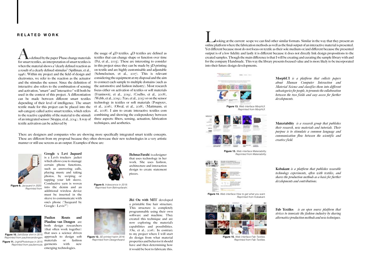A s defined by the paper Phase change materials for smart textiles, an interpretation of smart textiles is when the material shows a "clearly defined reaction as a result of a clearly defined stimulus" (Spillman, et al., 1996). Within my project and the field of design and electronics, we refer to the reaction as the actuator and the stimulus the sensor. Since the definition of interactive also refers to the combination of sensing and activation, "smart-" and "interactive-" will both be used in the context of this project. A differentiation can be made between different smart textiles depending of their level of intelligence. The smart textile made for this project can be placed into the sub category called active smart textiles, which refers to the reactive capability of the material to the stimuli of an integrated sensor (Stoppa, et al., 2014). A way of textile activation can be achieved by

<span id="page-4-0"></span>**RELATED WORK** WORK **RELATED WORK RELATED WORK RELATED WORK RELATED WORK RELATED WORK RELATED WORK Online platform where the fabrication methods as well as the final output of an interactive material is pre** online platform where the fabrication methods as well as the final output of an interactive material is presented. Yet different because most do not focus on textile as their sole medium or/and different because the presented output is of a low fidelity and lastly it is different because it does not directly link design propositions to the created samples. Though the main difference is that I will be creating and curating the sample library with and for the company Handmade. This way the library presents focused value and is more likely to be incorporated into their future design developments.



the usage of 4D textiles. 4D textiles are defined as textiles that can change shape or function over time (Pei, et al., 2005). These are interesting to consider in this project since they can be made by 3D printing on textile and are highly customisable and adjustable (Schmelzeisen, et al., 2017). This is relevant considering the equipment at my disposal and the aim to connect each sample to multiple domains (such as the automotive and fashion industry). Most research focus either on activation of textiles or soft materials (Franinović, et al., 2019), (Coelho, et al., 2008), (Webb, et al., 2019), (Yao, et al., 2013) or on the sensor technology in textiles or soft materials (Poupyrev, et al., 2016), (Olwal, et al., 2018), (Mattmann, et al., 2008). I aim to create interactive textiles com combining and showing the codependency between three aspects: fibers, sensing, actuation, fabrication techniques, and aesthetics.



**Figure 10.** (lefr)Solar shirt in 2015. Chair uses a selence dirreframe for the state of the sensitive dirretri<br>Reprinted from paulinevandongen, approach to design soft **Figure 11.** (right)Phototrope in 2015. **materials** or fashion Reprinted from paulienrouts. garments with new *Reprinted from paulinevandongen.*

MorphUI *is a platform that collects papers about Human Computer Interaction and Material Science and classifies them into different subcategories for people, to promote the collaboration between the two fields and easy access for further developments.* 

Materiability *is a research group that publishes their research, new materials and tutorials. Their purpose is to stimulate a common language and communication flow between the scientific and creative field.*

Kobakant *is a platform that publishes wearable technology experiments, often with textiles, and shares the production methods as a basis for further developments and contributions.* 

Fab Textiles *is an open source platform that strives to innovate the fashion industry by sharing alternative production methods and new techniques.*

Google x Levi Jaquard



is a Levi's truckers jacket which allows you to manage certain phone functions, such as answering calls, playing music and taking photos, by swiping or tapping your left sleeve. Conductive yarn is woven into the denim and an additional wireless device must be inserted in the sleeve to communicate with one's phone ("Jacquard by Google - Levis®")

Behnaz Farahi is a designer that uses technology in her work. She uses fashion, architecture and interaction design to create statement pieces.

Paulien Routs and Plauline van Dongenare both design researchers (that often work together) that uses a science driven

emerging technologies.

Jfei Ou with MIT developed a printable fine hair structure. This structure is completely programmable using their own software and machine. They created this technique and are now exploring the material's capabilities and possibilities. (Ou, et al., 2016). In contrary to my project where I will start do design from what material properties and behavior it should have and then determining how it would be best to fabricate this.



**Figure 8.** *Jacquard in 2020. Reprinted from*

**Figure 9.** *Iridescence in 2019. Reprinted from Behnazfarahi.*



**Figure 12.** *3D printed hairin 2016. Reprinted from DesignAward.*

**Figure 13.** *Web interface MorphUI. Reprinted from MorphUI.*



**Figure 13.** *Web interface Materiability. Reprinted from Materiability.*



**Figure 14.** *Web interface How to get what you want. Reprinted from Kobakant.*



**Figure 15.** *Web interface Fab Textiles. Reprinted from Fab Textiles.*

There are designers and companies who are showing more specifically integrated smart textile concepts. These are different from my proposal because they often showcase their new technologies in a very artistic manner or still use screens as an output. Examples of these are: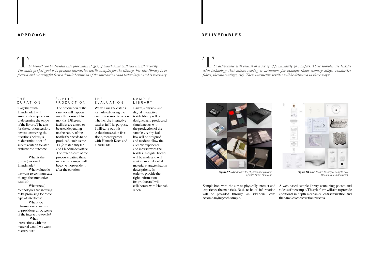## <span id="page-5-0"></span>**A P P R O A C H**

Together with Handmade I will answer a few questions to determine the scope of the library. The aim for the curation session, next to answering the questions below, is to determine a set of success criteria to later evaluate the outcome.

What is the (future) vision of Handmade?

What values do we want to communicate though the interactive textiles?

What (new) technologies are showing to be promising for these type of interfaces?

What type information do we want to provide as an outcome of the interactive textile? What interactions with the material would we want to carry out?

The production of the samples will happen over the course of two months. Different facilities are aimed to be used depending on the nature of the textile that needs to be produced, such as the TU/e materiality lab and Handmade's office. The exact nature of the process creating these interactive sample will become more evident after the curation.

We will use the criteria formulated during the curation session to access whether the interactive textiles fulfil its purpose. I will carry out this evaluation session first alone, then together with Hannah Koch and Handmade.

Lastly, a physical and digital interactive textile library will be designed and producesd simultaneous with the production of the samples. A physical box will be designed and made to allow the client to experience and interact with the textiles. A digital library will be made and will contain more detailed material characterisation descriptions. In order to provide the right information for producers I will collaborate with Hannah Koch.

T*he project can be divided into four main stages, of which some will run simultaneously. The main project goal is to produce interactive textile samples for the library. For this library to be focused and meaningful first a detailed curation of the interactions and technologies used is necessary.* 

#### T H E CURATION

#### S A M P L E PRODUCTION

#### T H E EVALUATION

SAMPLE LIBRARY

#### **D E L I V E R A B L E S**

Sample box, with the aim to physically interact and experience the materials. Basic technical information will be provided through an additional card accompanying each sample. A web based sample library containing photos and videos of the sample. This platform will aim to provide additional in depth mechanical characterization and the sample's construction process.

T*he deliverable will consist of a set of approximately 30 samples. These samples are textiles with technology that allows sensing or actuation, for example shape-memory alloys, conductive fibres, thermo coatings, etc). These interactive textiles will be delivered in three ways:*



**Figure 17.** *Moodboard for physical sample box. Reprinted from Pinterest.*



**Figure 18.** *Moodboard for digital sample box. Reprinted from Pinterest.*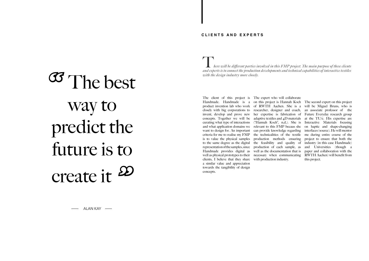## **C L I E N T S A N D E X P E R T S**

clients, I believe that they share with production industry. a similar value and appreciation towards the tangibility of design concepts.

The client of this project is The expert who will collaborate Handmade. Handmade is a on this project is Hannah Koch The second expert on this project product invention lab who work of RWTH Aachen. She is a will be Miguel Bruns, who is closely with big corporations to researcher, designer and coach, an associate professor of the invent, develop and prove new her expertise is fabrication of Future Everyday research group concepts. Together we will be adaptive textiles and  $4D$  materials at the TU/e. His expertise are curating what type of interactions ("Hannah Koch", n,d,). She is Interactive Materials focusing and what application domains we relevant to this FMP becaus she on haptic and shape-changing want to design for. An important can provide knowledge regarding interfaces (source). He will mentor criteria for me to realise my FMP the technicalities of the textile me during entire course of the is to value the physical samples production methods ensuring to the same degree as the digital the feasibility and quality of representation of the samples, since production of each sample, as Handmade provides digital as well as the documentation that is well as physical prototypes to their necessary when communicating RWTH Aachen) will benefit from

*here will be different parties involved in this FMP project. The main purpose of these clients and experts is to connect the production developments and technical capabilities of interactive textiles* 

<span id="page-6-0"></span>*with the design industry more closely.*<br> **OCSU** *The best with the design industry more closely.* way to predict the future is to create it *"*

project to ensure that both the industry (in this case Handmade) and Universities (though a paper and collaboration with the this project.

ALAN KAY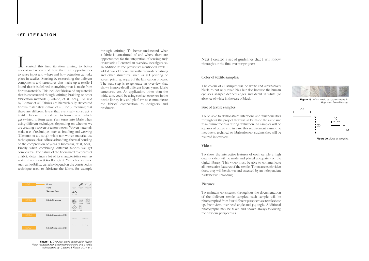#### <span id="page-7-0"></span>**1 ST I T E R A T I O N**

started this first iteration aiming to better understand where and how there are opportunities to sense input and where and how actuation can take place in textiles. Starting by researching the different components and structures that make up a textile I found that it is defined as anything that is made from fibrous materials. This includes fabrics and any material that is constructed though knitting, braiding or other fabrication methods (Castano, et al., 2014). As said by Lomov et al."Fabrics are hierarchically structured fibrous materials"(Lomov, et al., 2001), meaning that there are different levels that eventually construct a textile. Fibers are interlaced to form thread, which get twisted to form yarn. Yarn turns into fabric when using different techniques depending on whether we are creating a woven or a non-woven. Woven materials make use of techniques such as braiding and weaving (Castano, et al., 2014), while non-woven material use techniques such as adhesive bonding, thermal bonding or the compression of yarns (Dubrovski, et al, 2005). Finally when combining different fabrics we get composites. The nature of the fibers used to construct a fabric determines a lot of its characteristics such as water absorption (Gioello, 1982). Yet other features, such as flexibility, can also depend on the construction technique used to fabricate the fabric, for example

through knitting. To better understand what a fabric is constituted of and where there are opportunities for the integration of sensing and/ or actuating I created an overview (see figure x). In addition to the previously mentioned levels I added two additional layers that consider coatings and other structures, such as 3D printing or screen printing, as part of the fabrication process. The next step is to generate an overview that shows in more detail different fibers, yarns, fabric structures, etc. An application, other than the initial aim, could be using such an overview in the textile library box and platform to communicate the fabrics' composition to designers and producers.

Next I created a set of guidelines that I will follow throughout the final master project:

#### Color of textile samples:

The colour of all samples will be white and alternatively black, to not only avoid bias but also because the human eye sees sharper defined edges and detail in white (or absence of white in the case of black.

#### Size of textile samples:

To be able to demonstrate intentions and functionalities throughout the project they will all be made the same size to minimize the bias during evaluation. All samples will be squares of 20x20 cm, in case this requirement cannot be met due to technical or fabrication constraints they will be realized in 10x10 cm.



**Figure 18.** *Overview textile construction layers. Note: Adapted from Smart fabric sensors and e-textile technologies by Castano & Flatau, 2014, p. 2*

#### Video:

To show the interactive features of each sample a high quality video will be made and placed adequately on the digital library. This video must be able to communicate all interactive features of the textile. To ensure each video does, they will be shown and assessed by an independent party before uploading.

#### Pictures:

To maintain consistency throughout the documentation of the different textile samples, each sample will be photographed from four different perspectives: textile close up, front view, over head angle and  $\sqrt{4}$  angle. Additional photographs may be taken and shown always following the previous perspectives.



**Figure 20.** *Sizes of samples.*

- 
- 
- 
- 
- 
- 
- 
- 
- 
- 



**Figure 19.** *White textile structures example. Reprinted from Pinterest.*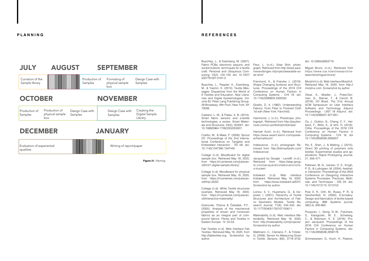# DECEMBER JANUARY

<span id="page-8-0"></span>

|                                   | <b>JULY</b>                        | <b>AUGUST</b> |                          | <b>SEPTEMBER</b>                       |                             |
|-----------------------------------|------------------------------------|---------------|--------------------------|----------------------------------------|-----------------------------|
|                                   | Curration of the<br>Sample library |               | Production of<br>Samples | Formating of<br>physical sample<br>box | Design Case with<br>Samples |
| <b>OCTOBER</b><br><b>NOVEMBER</b> |                                    |               |                          |                                        |                             |

Production of Samples

Design Case with

Samples

Production of physical sample

box

Writing of report/paper

Creating the Digital Sample

Library

Design Case with

Samples

Evaluation of experiential qualities



## **R E F E R E N C E S**

**Figure 21.** *Planning.*

Buechley, L., & Eisenberg, M. (2007). Fabric PCBs, electronic sequins, and socket buttons: techniques for e-textile craft. Personal and Ubiquitous Computing, 13(2), 133–150. doi: 10.1007/ s00779-007-0181-0

Collage (n.d). Moodboard for digital sample box. Retrieved May 18, 2020. from https://nl.pinterest.com/juliavanzilt/m21-digital-sample-library/.

Buechley, L., Peppler, K., Eisenberg, M., & Yasmin, K. (2013). Textile Messages: Dispatches from the World of E-Textiles and Education. New Literacies and Digital Epistemologies. Volume 62. Peter Lang Publishing Group. 29 Broadway 18th Floor, New York, NY 10006.

Castano, L. M., & Flatau, A. B. (2014). Smart fabric sensors and e-textile technologies: a review. Smart Materials and Structures, 23(5), 053001. doi: 10.1088/0964-1726/23/5/053001

Coelho, M., & Maes, P. (2008). Sprout I/O. Proceedings of the 2nd International Conference on Tangible and Embedded Interaction - TEI 08. doi: 10.1145/1347390.1347440

Collage (n.d). Moodboard for physical sample box. Retrieved May 18, 2020, from https://nl.pinterest.com/juliavanzilt/fmp-2020/.

Collage (n.d). White Textile structures example. Retrieved May 18, 2020, from https://nl.pinterest.com/juliavanzilt/interactive-materiality/.

Dubrovski, Polona & Čebašek, P.F.. (2005). Analysis of the mechanical properties of woven and nonwoven fabrics as an integral part of compound fabrics. Fibres and Textiles in Eastern Europe. 13. 50-53.

Fab Textiles (n.d). Web interface Fab Textiles. Retrieved May 18, 2020, from http://fabtextiles.org. Screenshot by author.

Fleur, L. (n.d.). Solar Shirt. photograph. Retrieved from http://www.paulinevandongen.nl/project/wearable-solar-shirt/

Franinović, K., & Franzke, L. (2019). Shape Changing Surfaces and Structures. Proceedings of the 2019 CHI Conference on Human Factors in Computing Systems - CHI 19. doi: 10.1145/3290605.3300355

Gioello, D. A. (1982). Understanding Fabrics: From Fiber to Finished Cloth 1st edn (New York: Fairchild).

Hammond, J. (n.d.). Phototrope. photograph. Retrieved from http://paulienrouts.com/un-portfolio/phototrope/

Hannah Koch. (n.d.). Retrieved from https://www.wearit-berlin.com/speaker/hannahkoch/

Iridescence . (n.d.). photograph. Retrieved from http://behnazfarahi.com/ Iridescence/

Jacquard by Google - Levis®. (n.d.). Retrieved from https://atap.google.com/jacquard/collaborations/levi-trucker/

Kobakant (n.d). Web interface Kobakant. Retrieved May 18, 2020, from https://www.kobakant.at/DIY/. Screenshot by author.

Lomov, S. V., Huysmans, G., & Verpoest, I. (2001). Hierarchy of Textile Structures and Architecture of Fabric Geometric Models. Textile Research Journal, 71(6), 534–543. doi: 10.1177/004051750107100611

Materiability (n.d). Web interface Materiability. Retrieved May 18, 2020, from http://materiability.com/projects/. Screenshot by author.

Mattmann, C., Clemens, F., & Tröster, G. (2008). Sensor for Measuring Strain in Textile. Sensors, 8(6), 3719–3732. doi: 10.3390/s8063719

Miguel Bruns. (n.d.). Retrieved from https://www.tue.nl/en/research/researchers/miguel-bruns/

MorphUI (n.d). Web interface MorphUI. Retrieved May 18, 2020, from http:// morphui.com. Screenshot by author.

Olwal, A., Moeller, J., Priest-Dorman, G., Starner, T., & Carroll, B. (2018). I/O Braid. The 31st Annual ACM Symposium on User Interface Software and Technology Adjunct Proceedings - UIST 18 Adjunct. doi: 10.1145/3266037.3271651

Ou, J., Dublon, G., Cheng, C.-Y., Heibeck, F., Willis, K., & Ishii, H. (2016). Cilllia. Proceedings of the 2016 CHI Conference on Human Factors in Computing Systems - CHI 16. doi 10.1145/2858036.2858257

Pei, E., Shen, J., & Watling, J. (2015). Direct 3D printing of polymers onto textiles: Experimental studies and applications. Rapid Prototyping Journal, 21, 556–571.

Petersen, M. G., Iversen, O. S., Krogh, P. G., & Ludvigsen, M. (2004). Aesthetic interaction. Proceedings of the 2004 Conference on Designing Interactive Systems Processes, Practices, Methods, and Techniques - DIS 04. doi: 10.1145/1013115.1013153

Post, E. R., Orth, M., Russo, P. R., & Gershenfeld, N. (2000). E-broidery: Design and fabrication of textile-based computing. IBM Systems journal, 39(3.4), 840-860.

Poupyrev, I., Gong, N.-W., Fukuhara, S., Karagozler, M. E., Schwesig, C., & Robinson, K. E. (2016). Project Jacquard. Proceedings of the 2016 CHI Conference on Human Factors in Computing Systems. doi: 10.1145/2858036.2858176

Schmelzeisen, D., Koch, H., Pastore,